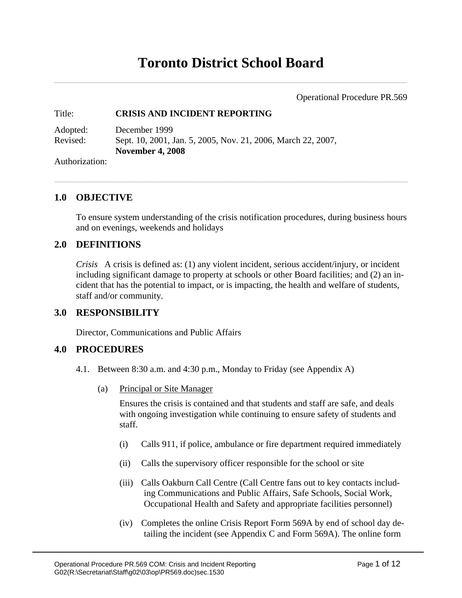Operational Procedure PR.569

## Title: **CRISIS AND INCIDENT REPORTING**

| Adopted: | December 1999                                                |
|----------|--------------------------------------------------------------|
| Revised: | Sept. 10, 2001, Jan. 5, 2005, Nov. 21, 2006, March 22, 2007, |
|          | <b>November 4, 2008</b>                                      |

Authorization:

## **1.0 OBJECTIVE**

To ensure system understanding of the crisis notification procedures, during business hours and on evenings, weekends and holidays

## **2.0 DEFINITIONS**

*Crisis* A crisis is defined as: (1) any violent incident, serious accident/injury, or incident including significant damage to property at schools or other Board facilities; and (2) an incident that has the potential to impact, or is impacting, the health and welfare of students, staff and/or community.

# **3.0 RESPONSIBILITY**

Director, Communications and Public Affairs

## **4.0 PROCEDURES**

- 4.1. Between 8:30 a.m. and 4:30 p.m., Monday to Friday (see Appendix A)
	- (a) Principal or Site Manager

Ensures the crisis is contained and that students and staff are safe, and deals with ongoing investigation while continuing to ensure safety of students and staff.

- (i) Calls 911, if police, ambulance or fire department required immediately
- (ii) Calls the supervisory officer responsible for the school or site
- (iii) Calls Oakburn Call Centre (Call Centre fans out to key contacts including Communications and Public Affairs, Safe Schools, Social Work, Occupational Health and Safety and appropriate facilities personnel)
- (iv) Completes the online Crisis Report Form 569A by end of school day detailing the incident (see Appendix C and Form 569A). The online form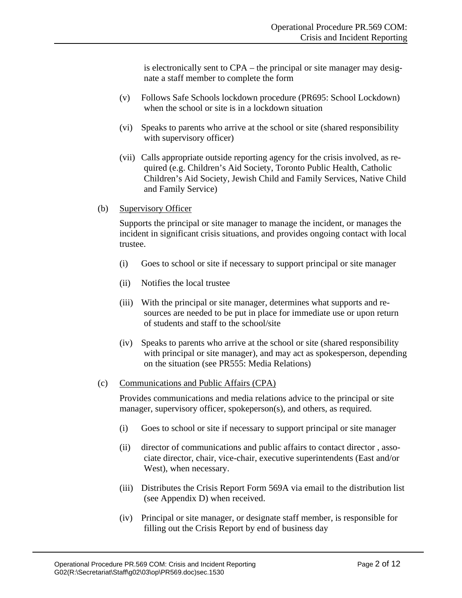is electronically sent to CPA – the principal or site manager may designate a staff member to complete the form

- (v) Follows Safe Schools lockdown procedure (PR695: School Lockdown) when the school or site is in a lockdown situation
- (vi) Speaks to parents who arrive at the school or site (shared responsibility with supervisory officer)
- (vii) Calls appropriate outside reporting agency for the crisis involved, as required (e.g. Children's Aid Society, Toronto Public Health, Catholic Children's Aid Society, Jewish Child and Family Services, Native Child and Family Service)
- (b) Supervisory Officer

Supports the principal or site manager to manage the incident, or manages the incident in significant crisis situations, and provides ongoing contact with local trustee.

- (i) Goes to school or site if necessary to support principal or site manager
- (ii) Notifies the local trustee
- (iii) With the principal or site manager, determines what supports and resources are needed to be put in place for immediate use or upon return of students and staff to the school/site
- (iv) Speaks to parents who arrive at the school or site (shared responsibility with principal or site manager), and may act as spokesperson, depending on the situation (see PR555: Media Relations)

## (c) Communications and Public Affairs (CPA)

Provides communications and media relations advice to the principal or site manager, supervisory officer, spokeperson(s), and others, as required.

- (i) Goes to school or site if necessary to support principal or site manager
- (ii) director of communications and public affairs to contact director , associate director, chair, vice-chair, executive superintendents (East and/or West), when necessary.
- (iii) Distributes the Crisis Report Form 569A via email to the distribution list (see Appendix D) when received.
- (iv) Principal or site manager, or designate staff member, is responsible for filling out the Crisis Report by end of business day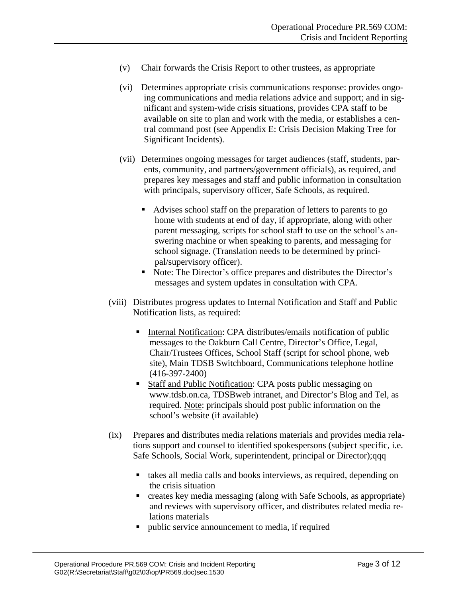- (v) Chair forwards the Crisis Report to other trustees, as appropriate
- (vi) Determines appropriate crisis communications response: provides ongoing communications and media relations advice and support; and in significant and system-wide crisis situations, provides CPA staff to be available on site to plan and work with the media, or establishes a central command post (see Appendix E: Crisis Decision Making Tree for Significant Incidents).
- (vii) Determines ongoing messages for target audiences (staff, students, parents, community, and partners/government officials), as required, and prepares key messages and staff and public information in consultation with principals, supervisory officer, Safe Schools, as required.
	- Advises school staff on the preparation of letters to parents to go home with students at end of day, if appropriate, along with other parent messaging, scripts for school staff to use on the school's answering machine or when speaking to parents, and messaging for school signage. (Translation needs to be determined by principal/supervisory officer).
	- Note: The Director's office prepares and distributes the Director's messages and system updates in consultation with CPA.
- (viii) Distributes progress updates to Internal Notification and Staff and Public Notification lists, as required:
	- Internal Notification: CPA distributes/emails notification of public messages to the Oakburn Call Centre, Director's Office, Legal, Chair/Trustees Offices, School Staff (script for school phone, web site), Main TDSB Switchboard, Communications telephone hotline (416-397-2400)
	- **Staff and Public Notification: CPA posts public messaging on** www.tdsb.on.ca, TDSBweb intranet, and Director's Blog and Tel, as required. Note: principals should post public information on the school's website (if available)
- (ix) Prepares and distributes media relations materials and provides media relations support and counsel to identified spokespersons (subject specific, i.e. Safe Schools, Social Work, superintendent, principal or Director);qqq
	- takes all media calls and books interviews, as required, depending on the crisis situation
	- creates key media messaging (along with Safe Schools, as appropriate) and reviews with supervisory officer, and distributes related media relations materials
	- public service announcement to media, if required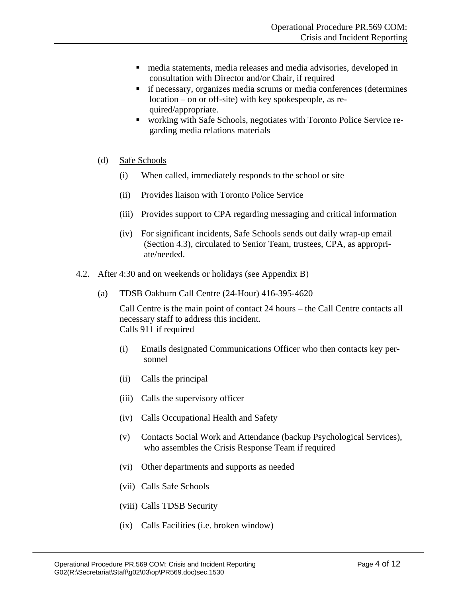- media statements, media releases and media advisories, developed in consultation with Director and/or Chair, if required
- if necessary, organizes media scrums or media conferences (determines location – on or off-site) with key spokespeople, as required/appropriate.
- working with Safe Schools, negotiates with Toronto Police Service regarding media relations materials
- (d) Safe Schools
	- (i) When called, immediately responds to the school or site
	- (ii) Provides liaison with Toronto Police Service
	- (iii) Provides support to CPA regarding messaging and critical information
	- (iv) For significant incidents, Safe Schools sends out daily wrap-up email (Section 4.3), circulated to Senior Team, trustees, CPA, as appropriate/needed.

## 4.2. After 4:30 and on weekends or holidays (see Appendix B)

(a) TDSB Oakburn Call Centre (24-Hour) 416-395-4620

Call Centre is the main point of contact 24 hours – the Call Centre contacts all necessary staff to address this incident. Calls 911 if required

- (i) Emails designated Communications Officer who then contacts key personnel
- (ii) Calls the principal
- (iii) Calls the supervisory officer
- (iv) Calls Occupational Health and Safety
- (v) Contacts Social Work and Attendance (backup Psychological Services), who assembles the Crisis Response Team if required
- (vi) Other departments and supports as needed
- (vii) Calls Safe Schools
- (viii) Calls TDSB Security
- (ix) Calls Facilities (i.e. broken window)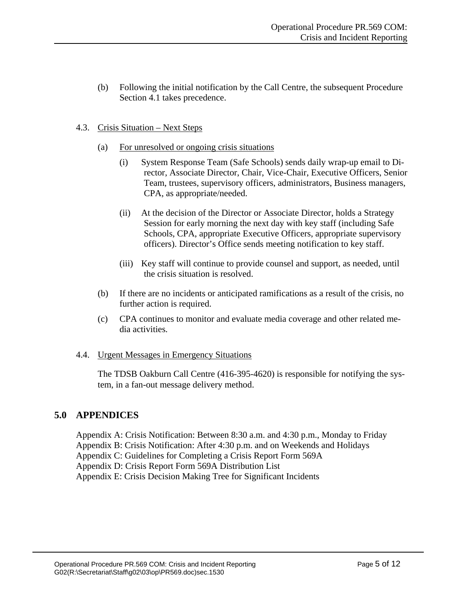(b) Following the initial notification by the Call Centre, the subsequent Procedure Section 4.1 takes precedence.

## 4.3. Crisis Situation – Next Steps

- (a) For unresolved or ongoing crisis situations
	- (i) System Response Team (Safe Schools) sends daily wrap-up email to Director, Associate Director, Chair, Vice-Chair, Executive Officers, Senior Team, trustees, supervisory officers, administrators, Business managers, CPA, as appropriate/needed.
	- (ii) At the decision of the Director or Associate Director, holds a Strategy Session for early morning the next day with key staff (including Safe Schools, CPA, appropriate Executive Officers, appropriate supervisory officers). Director's Office sends meeting notification to key staff.
	- (iii) Key staff will continue to provide counsel and support, as needed, until the crisis situation is resolved.
- (b) If there are no incidents or anticipated ramifications as a result of the crisis, no further action is required.
- (c) CPA continues to monitor and evaluate media coverage and other related media activities.

## 4.4. Urgent Messages in Emergency Situations

The TDSB Oakburn Call Centre (416-395-4620) is responsible for notifying the system, in a fan-out message delivery method.

# **5.0 APPENDICES**

Appendix A: Crisis Notification: Between 8:30 a.m. and 4:30 p.m., Monday to Friday Appendix B: Crisis Notification: After 4:30 p.m. and on Weekends and Holidays Appendix C: Guidelines for Completing a Crisis Report Form 569A Appendix D: Crisis Report Form 569A Distribution List Appendix E: Crisis Decision Making Tree for Significant Incidents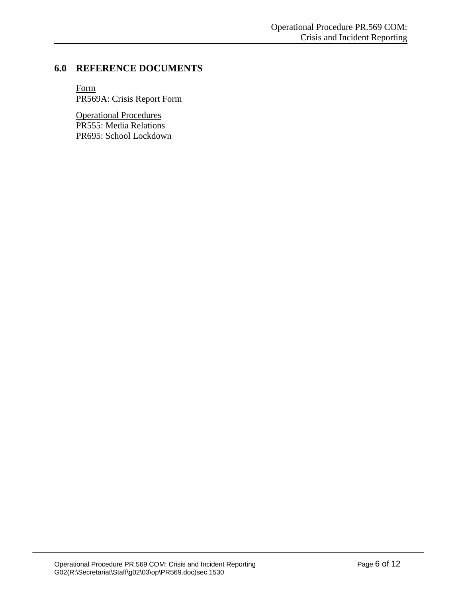# **6.0 REFERENCE DOCUMENTS**

Form PR569A: Crisis Report Form

Operational Procedures PR555: Media Relations PR695: School Lockdown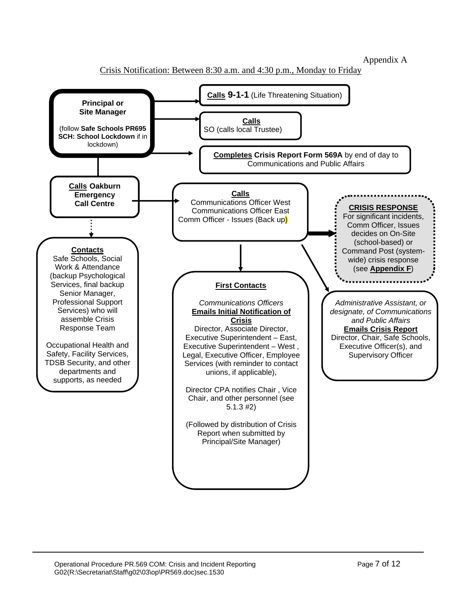Appendix A

Crisis Notification: Between 8:30 a.m. and 4:30 p.m., Monday to Friday

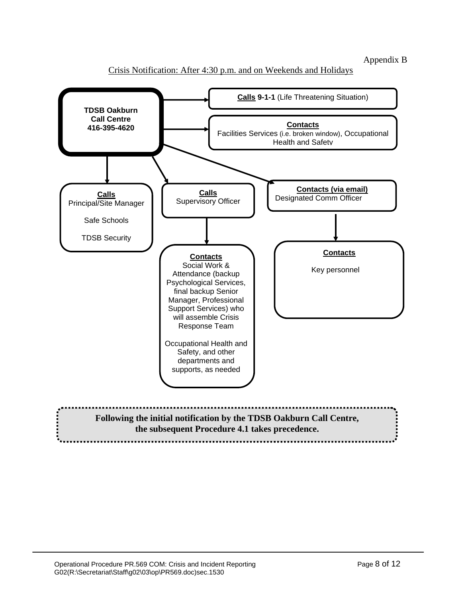## Appendix B



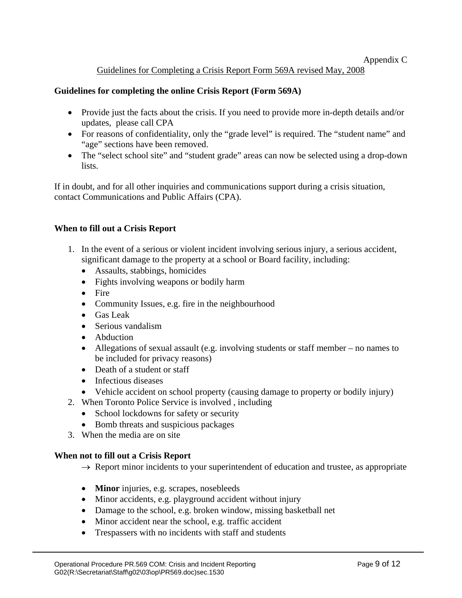## Appendix C

Guidelines for Completing a Crisis Report Form 569A revised May, 2008

# **Guidelines for completing the online Crisis Report (Form 569A)**

- Provide just the facts about the crisis. If you need to provide more in-depth details and/or updates, please call CPA
- For reasons of confidentiality, only the "grade level" is required. The "student name" and "age" sections have been removed.
- The "select school site" and "student grade" areas can now be selected using a drop-down lists.

If in doubt, and for all other inquiries and communications support during a crisis situation, contact Communications and Public Affairs (CPA).

## **When to fill out a Crisis Report**

- 1. In the event of a serious or violent incident involving serious injury, a serious accident, significant damage to the property at a school or Board facility, including:
	- Assaults, stabbings, homicides
	- Fights involving weapons or bodily harm
	- Fire
	- Community Issues, e.g. fire in the neighbourhood
	- Gas Leak
	- Serious vandalism
	- Abduction
	- Allegations of sexual assault (e.g. involving students or staff member no names to be included for privacy reasons)
	- Death of a student or staff
	- Infectious diseases
	- Vehicle accident on school property (causing damage to property or bodily injury)
- 2. When Toronto Police Service is involved , including
	- School lockdowns for safety or security
	- Bomb threats and suspicious packages
- 3. When the media are on site

## **When not to fill out a Crisis Report**

- $\rightarrow$  Report minor incidents to your superintendent of education and trustee, as appropriate
- **Minor** injuries, e.g. scrapes, nosebleeds
- Minor accidents, e.g. playground accident without injury
- Damage to the school, e.g. broken window, missing basketball net
- Minor accident near the school, e.g. traffic accident
- Trespassers with no incidents with staff and students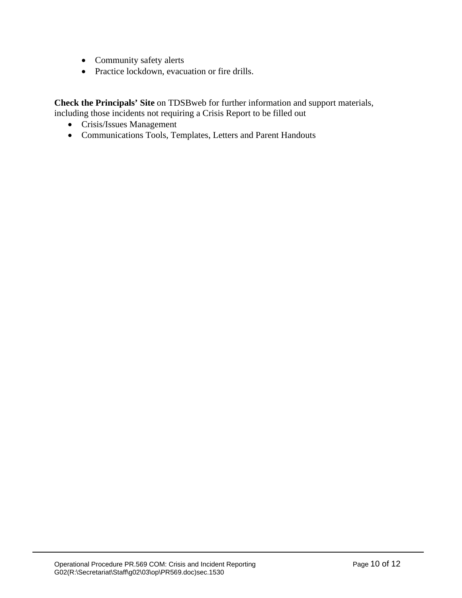- Community safety alerts
- Practice lockdown, evacuation or fire drills.

**Check the Principals' Site** on TDSBweb for further information and support materials, including those incidents not requiring a Crisis Report to be filled out

- Crisis/Issues Management
- Communications Tools, Templates, Letters and Parent Handouts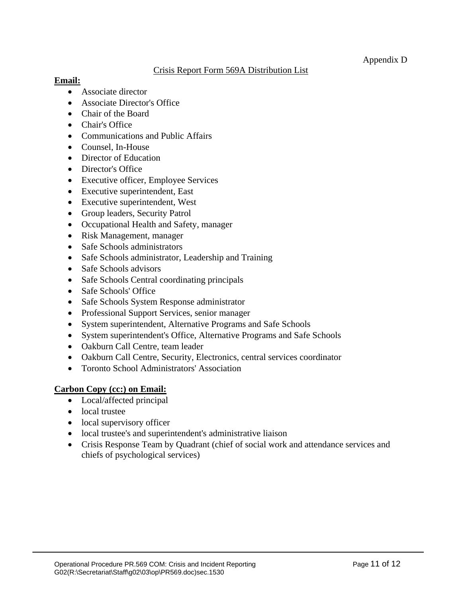# Crisis Report Form 569A Distribution List

# **Email:**

- Associate director
- Associate Director's Office
- Chair of the Board
- Chair's Office
- Communications and Public Affairs
- Counsel, In-House
- Director of Education
- Director's Office
- Executive officer, Employee Services
- Executive superintendent, East
- Executive superintendent, West
- Group leaders, Security Patrol
- Occupational Health and Safety, manager
- Risk Management, manager
- Safe Schools administrators
- Safe Schools administrator, Leadership and Training
- Safe Schools advisors
- Safe Schools Central coordinating principals
- Safe Schools' Office
- Safe Schools System Response administrator
- Professional Support Services, senior manager
- System superintendent, Alternative Programs and Safe Schools
- System superintendent's Office, Alternative Programs and Safe Schools
- Oakburn Call Centre, team leader
- Oakburn Call Centre, Security, Electronics, central services coordinator
- Toronto School Administrators' Association

# **Carbon Copy (cc:) on Email:**

- Local/affected principal
- local trustee
- local supervisory officer
- local trustee's and superintendent's administrative liaison
- Crisis Response Team by Quadrant (chief of social work and attendance services and chiefs of psychological services)